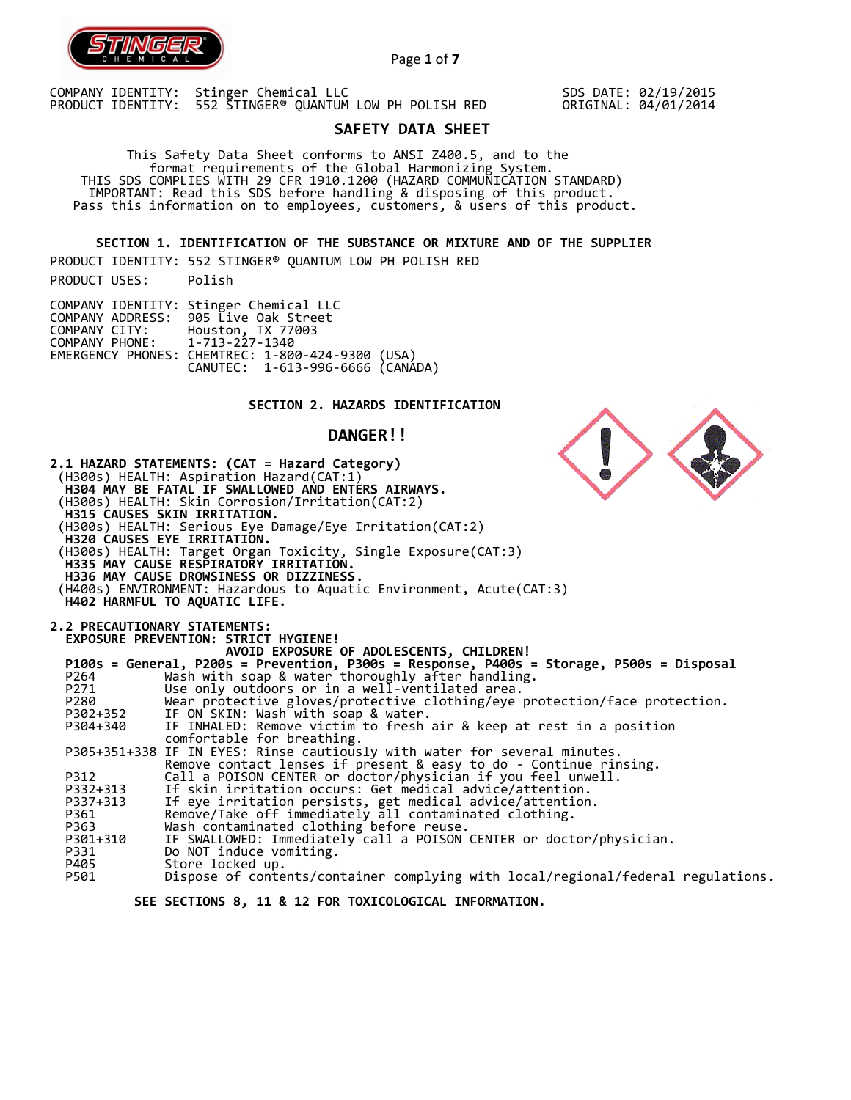

Page **1** of **7**

COMPANY IDENTITY: Stinger Chemical LLC PRODUCT IDENTITY: 552 STINGER® QUANTUM LOW PH POLISH RED SDS DATE: 02/19/2015 ORIGINAL: 04/01/2014

# **SAFETY DATA SHEET**

 This Safety Data Sheet conforms to ANSI Z400.5, and to the format requirements of the Global Harmonizing System. THIS SDS COMPLIES WITH 29 CFR 1910.1200 (HAZARD COMMUNICATION STANDARD) IMPORTANT: Read this SDS before handling & disposing of this product. Pass this information on to employees, customers, & users of this product.

**SECTION 1. IDENTIFICATION OF THE SUBSTANCE OR MIXTURE AND OF THE SUPPLIER** 

PRODUCT IDENTITY: 552 STINGER® QUANTUM LOW PH POLISH RED PRODUCT USES: Polish

|                               | COMPANY IDENTITY: Stinger Chemical LLC           |  |
|-------------------------------|--------------------------------------------------|--|
|                               | COMPANY ADDRESS: 905 Live Oak Street             |  |
| COMPANY CITY:                 | Houston, TX 77003                                |  |
| COMPANY PHONE: 1-713-227-1340 |                                                  |  |
|                               | EMERGENCY PHONES: CHEMTREC: 1-800-424-9300 (USA) |  |
|                               | CANUTEC: 1-613-996-6666 (CANADA)                 |  |

## **SECTION 2. HAZARDS IDENTIFICATION**

## **DANGER!!**

**2.1 HAZARD STATEMENTS: (CAT = Hazard Category)** (H300s) HEALTH: Aspiration Hazard(CAT:1)  **H304 MAY BE FATAL IF SWALLOWED AND ENTERS AIRWAYS.**  (H300s) HEALTH: Skin Corrosion/Irritation(CAT:2)  **H315 CAUSES SKIN IRRITATION.**  (H300s) HEALTH: Serious Eye Damage/Eye Irritation(CAT:2)  **H320 CAUSES EYE IRRITATION.**  (H300s) HEALTH: Target Organ Toxicity, Single Exposure(CAT:3)  **H335 MAY CAUSE RESPIRATORY IRRITATION. H336 MAY CAUSE DROWSINESS OR DIZZINESS.**  (H400s) ENVIRONMENT: Hazardous to Aquatic Environment, Acute(CAT:3)  **H402 HARMFUL TO AQUATIC LIFE. 2.2 PRECAUTIONARY STATEMENTS: EXPOSURE PREVENTION: STRICT HYGIENE! AVOID EXPOSURE OF ADOLESCENTS, CHILDREN! P100s = General, P200s = Prevention, P300s = Response, P400s = Storage, P500s = Disposal**  P264 Wash with soap & water thoroughly after handling. P271 Use only outdoors or in a well-ventilated area.<br>P280 Wear protective gloves/protective clothing/eye P280 Wear protective gloves/protective clothing/eye protection/face protection.<br>P302+352 IF ON SKIN: Wash with soap & water. P302+352 IF ON SKIN: Wash with soap & water.<br>P304+340 IF INHALED: Remove victim to fresh IF INHALED: Remove victim to fresh air & keep at rest in a position comfortable for breathing. P305+351+338 IF IN EYES: Rinse cautiously with water for several minutes. Remove contact lenses if present & easy to do - Continue rinsing. P312 Call a POISON CENTER or doctor/physician if you feel unwell. P332+313 If skin irritation occurs: Get medical advice/attention. P337+313 If eye irritation persists, get medical advice/attention. P361 Remove/Take off immediately all contaminated clothing. P363 Wash contaminated clothing before reuse.<br>P301+310 IF SWALLOWED: Immediately call a POISON P301+310 IF SWALLOWED: Immediately call a POISON CENTER or doctor/physician.<br>P331 Do NOT induce vomiting. P331 Do NOT induce vomiting.<br>P405 Store locked up. P405 Store locked up. Dispose of contents/container complying with local/regional/federal regulations.

 **SEE SECTIONS 8, 11 & 12 FOR TOXICOLOGICAL INFORMATION.** 

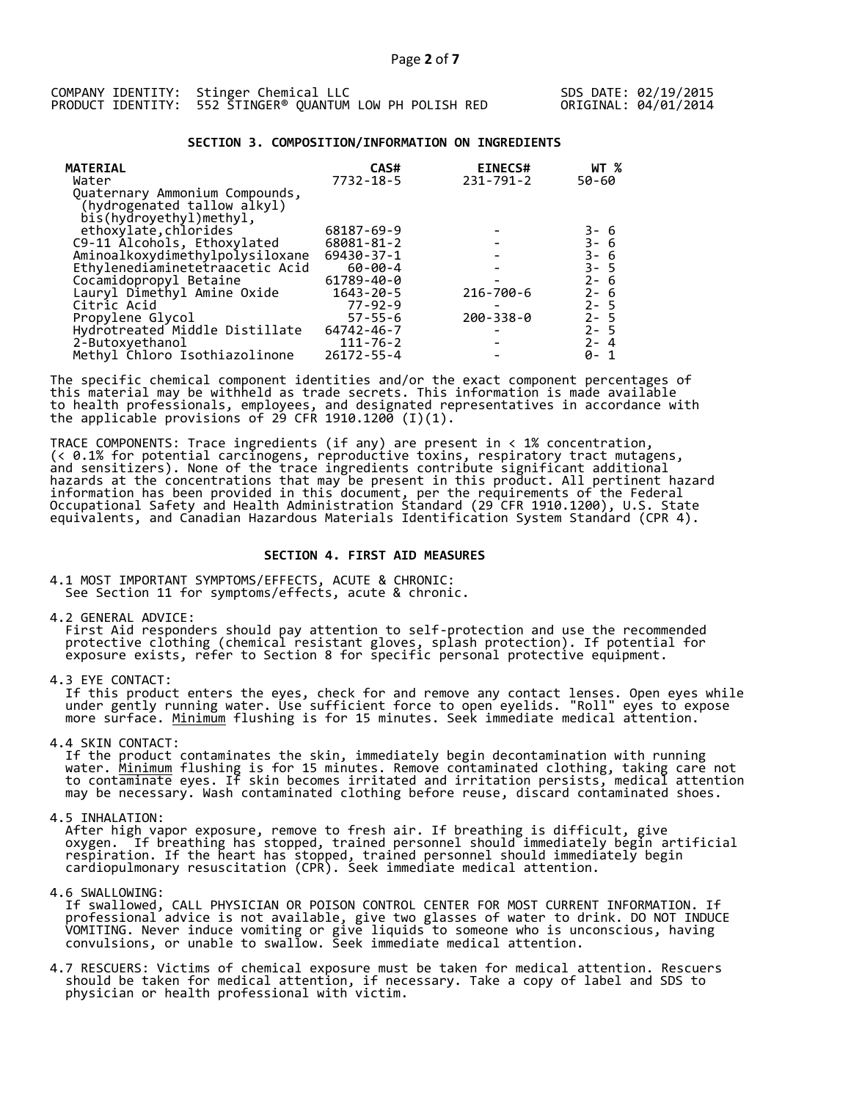|  | COMPANY IDENTITY: Stinger Chemical LLC                   |  |  |  |
|--|----------------------------------------------------------|--|--|--|
|  | PRODUCT IDENTITY: 552 STINGER® QUANTUM LOW PH POLISH RED |  |  |  |

## **SECTION 3. COMPOSITION/INFORMATION ON INGREDIENTS**

| <b>MATERIAL</b><br>Water                                                                 | CAS#<br>$7732 - 18 - 5$ | <b>EINECS#</b><br>$231 - 791 - 2$ | WT %<br>50-60                |
|------------------------------------------------------------------------------------------|-------------------------|-----------------------------------|------------------------------|
| Quaternary Ammonium Compounds,<br>(hydrogenated tallow alkyl)<br>bis(hydroyethyl)methyl, |                         |                                   |                              |
| ethoxylate, chlorides                                                                    | 68187-69-9              |                                   |                              |
| C9-11 Alcohols, Ethoxylated                                                              | 68081-81-2              |                                   | 3- 6<br>3- 6<br>3- 6<br>3- 5 |
| Aminoalkoxydimethylpolysiloxane                                                          | $69430 - 37 - 1$        |                                   |                              |
| Ethylenediaminetetraacetic Acid                                                          | $60 - 00 - 4$           |                                   |                              |
| Cocamidopropyl Betaine                                                                   | 61789-40-0              |                                   | $2 - 6$                      |
| Lauryl Dimethyl Amine Oxide                                                              | $1643 - 20 - 5$         | 216-700-6                         | $2 - 6$                      |
| Citric Acid                                                                              | $77 - 92 - 9$           |                                   | $2 - 5$                      |
| Propylene Glycol                                                                         | $57 - 55 - 6$           | $200 - 338 - 0$                   | $2 - 5$                      |
| Hydrotreated Middle Distillate                                                           | 64742-46-7              |                                   | $2 - 5$                      |
| 2-Butoxyethanol                                                                          | $111 - 76 - 2$          |                                   | $2 - 4$                      |
| Methyl Chloro Isothiazolinone                                                            | $26172 - 55 - 4$        |                                   | 0- 1                         |

The specific chemical component identities and/or the exact component percentages of this material may be withheld as trade secrets. This information is made available to health professionals, employees, and designated representatives in accordance with the applicable provisions of 29 CFR 1910.1200̄ (I)(1).  $\overline{\phantom{a}}$ 

TRACE COMPONENTS: Trace ingredients (if any) are present in < 1% concentration, (< 0.1% for potential carcinogens, reproductive toxins, respiratory tract mutagens, and sensitizers). None of the trace ingredients contribute significant additional hazards at the concentrations that may be present in this product. All pertinent hazard information has been provided in this document, per the requirements of the Federal Occupational Safety and Health Administration Standard (29 CFR 1910.1200), U.S. State equivalents, and Canadian Hazardous Materials Identification System Standard (CPR 4).

## **SECTION 4. FIRST AID MEASURES**

4.1 MOST IMPORTANT SYMPTOMS/EFFECTS, ACUTE & CHRONIC: See Section 11 for symptoms/effects, acute & chronic.

4.2 GENERAL ADVICE:

 First Aid responders should pay attention to self-protection and use the recommended protective clothing (chemical resistant gloves, splash protection). If potential for exposure exists, refer to Section 8 for specific personal protective equipment.

4.3 EYE CONTACT:

 If this product enters the eyes, check for and remove any contact lenses. Open eyes while under gently running water. Use sufficient force to open eyelids. "Roll" eyes to expose more surface. <u>Minimum</u> flushing is for 15 minutes. Seek immediate medical attention.

4.4 SKIN CONTACT:

 If the product contaminates the skin, immediately begin decontamination with running water. <u>Minimum</u> flushing is for 15 minutes. Remove contaminated clothing, taking care not to contaminate eyes. If skin becomes irritated and irritation persists, medical attention may be necessary. Wash contaminated clothing before reuse, discard contaminated shoes.

4.5 INHALATION:

 After high vapor exposure, remove to fresh air. If breathing is difficult, give oxygen. If breathing has stopped, trained personnel should immediately begin artificial respiration. If the heart has stopped, trained personnel should immediately begin cardiopulmonary resuscitation (CPR). Seek immediate medical attention.

4.6 SWALLOWING:

 If swallowed, CALL PHYSICIAN OR POISON CONTROL CENTER FOR MOST CURRENT INFORMATION. If professional advice is not available, give two glasses of water to drink. DO NOT INDUCE VOMITING. Never induce vomiting or give liquids to someone who is unconscious, having convulsions, or unable to swallow. Seek immediate medical attention.

4.7 RESCUERS: Victims of chemical exposure must be taken for medical attention. Rescuers should be taken for medical attention, if necessary. Take a copy of label and SDS to physician or health professional with victim.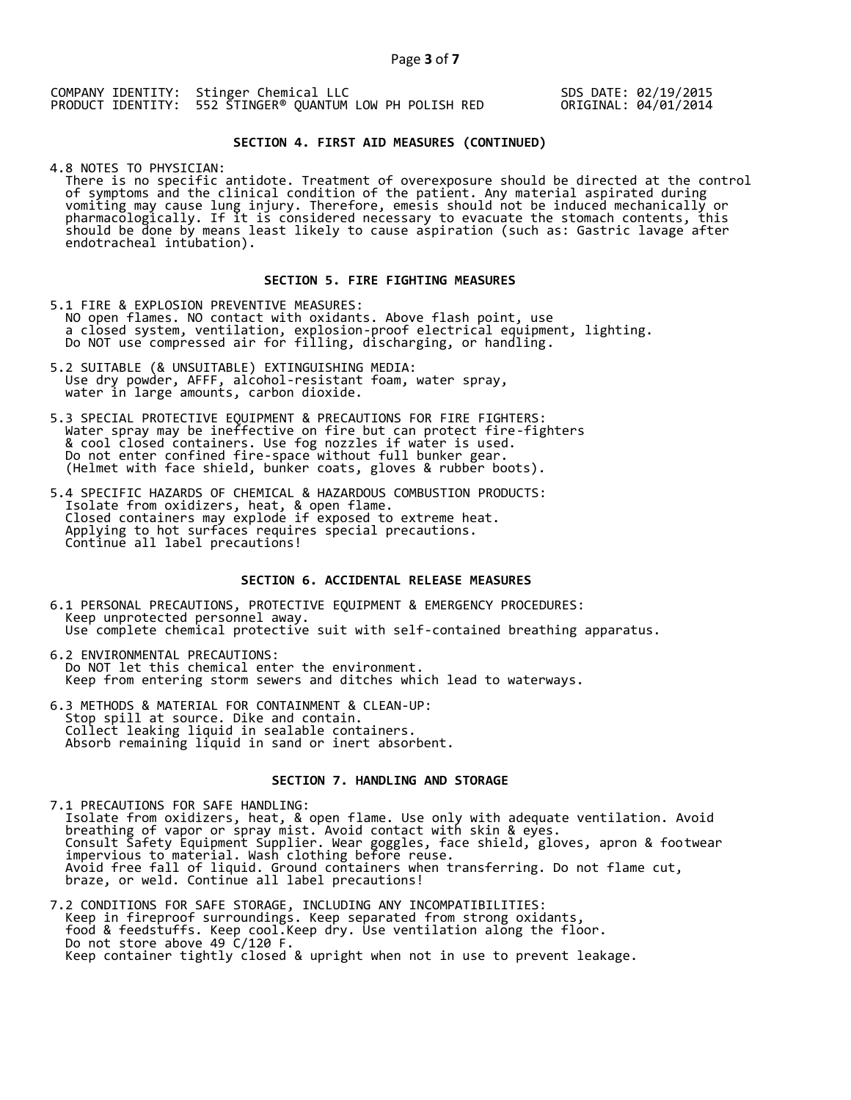SDS DATE: 02/19/2015 ORIGINAL: 04/01/2014

## **SECTION 4. FIRST AID MEASURES (CONTINUED)**

4.8 NOTES TO PHYSICIAN:

 There is no specific antidote. Treatment of overexposure should be directed at the control of symptoms and the clinical condition of the patient. Any material aspirated during vomiting may cause lung injury. Therefore, emesis should not be induced mechanically or pharmacologically. If it is considered necessary to evacuate the stomach contents, this should be done by means least likely to cause aspiration (such as: Gastric lavage after endotracheal intubation).

## **SECTION 5. FIRE FIGHTING MEASURES**

5.1 FIRE & EXPLOSION PREVENTIVE MEASURES: NO open flames. NO contact with oxidants. Above flash point, use a closed system, ventilation, explosion-proof electrical equipment, lighting. Do NOT use compressed air for filling, discharging, or handling.

- 5.2 SUITABLE (& UNSUITABLE) EXTINGUISHING MEDIA: Use dry powder, AFFF, alcohol-resistant foam, water spray, water in large amounts, carbon dioxide.
- 5.3 SPECIAL PROTECTIVE EQUIPMENT & PRECAUTIONS FOR FIRE FIGHTERS: Water spray may be ineffective on fire but can protect fire-fighters & cool closed containers. Use fog nozzles if water is used. Do not enter confined fire-space without full bunker gear. (Helmet with face shield, bunker coats, gloves & rubber boots).
- 5.4 SPECIFIC HAZARDS OF CHEMICAL & HAZARDOUS COMBUSTION PRODUCTS: Isolate from oxidizers, heat, & open flame. Closed containers may explode if exposed to extreme heat. Applying to hot surfaces requires special precautions. Continue all label precautions!

## **SECTION 6. ACCIDENTAL RELEASE MEASURES**

- 6.1 PERSONAL PRECAUTIONS, PROTECTIVE EQUIPMENT & EMERGENCY PROCEDURES: Keep unprotected personnel away. Use complete chemical protective suit with self-contained breathing apparatus.
- 6.2 ENVIRONMENTAL PRECAUTIONS: Do NOT let this chemical enter the environment. Keep from entering storm sewers and ditches which lead to waterways.
- 6.3 METHODS & MATERIAL FOR CONTAINMENT & CLEAN-UP: Stop spill at source. Dike and contain. Collect leaking liquid in sealable containers. Absorb remaining liquid in sand or inert absorbent.

### **SECTION 7. HANDLING AND STORAGE**

7.1 PRECAUTIONS FOR SAFE HANDLING: Isolate from oxidizers, heat, & open flame. Use only with adequate ventilation. Avoid breathing of vapor or spray mist. Avoid contact with skin & eyes. Consult Safety Equipment Supplier. Wear goggles, face shield, gloves, apron & footwear impervious to material. Wash clothing before reuse. Avoid free fall of liquid. Ground containers when transferring. Do not flame cut, braze, or weld. Continue all label precautions!

7.2 CONDITIONS FOR SAFE STORAGE, INCLUDING ANY INCOMPATIBILITIES: Keep in fireproof surroundings. Keep separated from strong oxidants, food & feedstuffs. Keep cool.Keep dry. Use ventilation along the floor. Do not store above 49 C/120 F. Keep container tightly closed & upright when not in use to prevent leakage.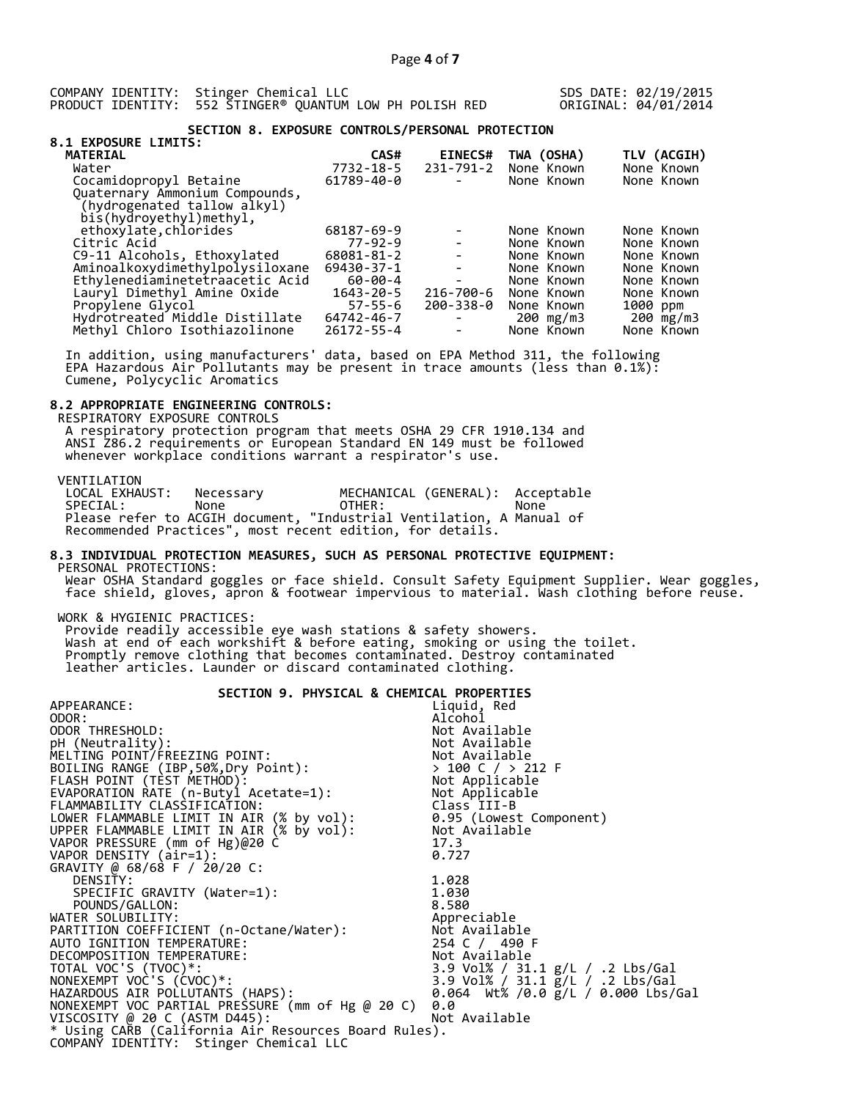SDS DATE: 02/19/2015 ORIGINAL: 04/01/2014

## **SECTION 8. EXPOSURE CONTROLS/PERSONAL PROTECTION**

| TLV (ACGIH) |
|-------------|
|             |
| None Known  |
| None Known  |
|             |
|             |
|             |
| None Known  |
| None Known  |
| None Known  |
| None Known  |
| None Known  |
| None Known  |
| 1000 ppm    |
| 200 mg/m3   |
| None Known  |
|             |

 In addition, using manufacturers' data, based on EPA Method 311, the following EPA Hazardous Air Pollutants may be present in trace amounts (less than 0.1%): Cumene, Polycyclic Aromatics

## **8.2 APPROPRIATE ENGINEERING CONTROLS:**

 RESPIRATORY EXPOSURE CONTROLS A respiratory protection program that meets OSHA 29 CFR 1910.134 and ANSI Z86.2 requirements or European Standard EN 149 must be followed whenever workplace conditions warrant a respirator's use.

VENTILATION<br>LOCAL EXHAUST: LOCAL EXHAUST: Necessary MECHANICAL (GENERAL): Acceptable SPECIAL: None OTHER: None Please refer to ACGIH document, "Industrial Ventilation, A Manual of Recommended Practices", most recent edition, for details.

### **8.3 INDIVIDUAL PROTECTION MEASURES, SUCH AS PERSONAL PROTECTIVE EQUIPMENT:**  PERSONAL PROTECTIONS:

 Wear OSHA Standard goggles or face shield. Consult Safety Equipment Supplier. Wear goggles, face shield, gloves, apron & footwear impervious to material. Wash clothing before reuse.

WORK & HYGIENIC PRACTICES:

 Provide readily accessible eye wash stations & safety showers. Wash at end of each workshift & before eating, smoking or using the toilet. Promptly remove clothing that becomes contaminated. Destroy contaminated leather articles. Launder or discard contaminated clothing.

# **SECTION 9. PHYSICAL & CHEMICAL PROPERTIES**

| Liquid, Red                                          |
|------------------------------------------------------|
| Alcohol                                              |
| Not Available                                        |
| Not Available                                        |
| Not Available                                        |
| $> 100$ C / $> 212$ F                                |
| Not Applicable                                       |
| Not Applicable                                       |
| Class III-B                                          |
| 0.95 (Lowest Component)                              |
| Not Available                                        |
| 17.3                                                 |
| 0.727                                                |
|                                                      |
| 1.028                                                |
| 1.030                                                |
| 8.580                                                |
| Appreciable                                          |
| Not Available                                        |
| 254 C / 490 F                                        |
| Not Available                                        |
| 3.9 Vol% / 31.1 g/L / .2 Lbs/Gal                     |
| 3.9 Vol% / 31.1 g/L / .2 Lbs/Gal                     |
| 0.064 Wt% /0.0 $\bar{g}/L$ / 0.000 Lbs/Gal           |
| 0.0                                                  |
| Not Available                                        |
| * Using CARB (California Air Resources Board Rules). |
|                                                      |
|                                                      |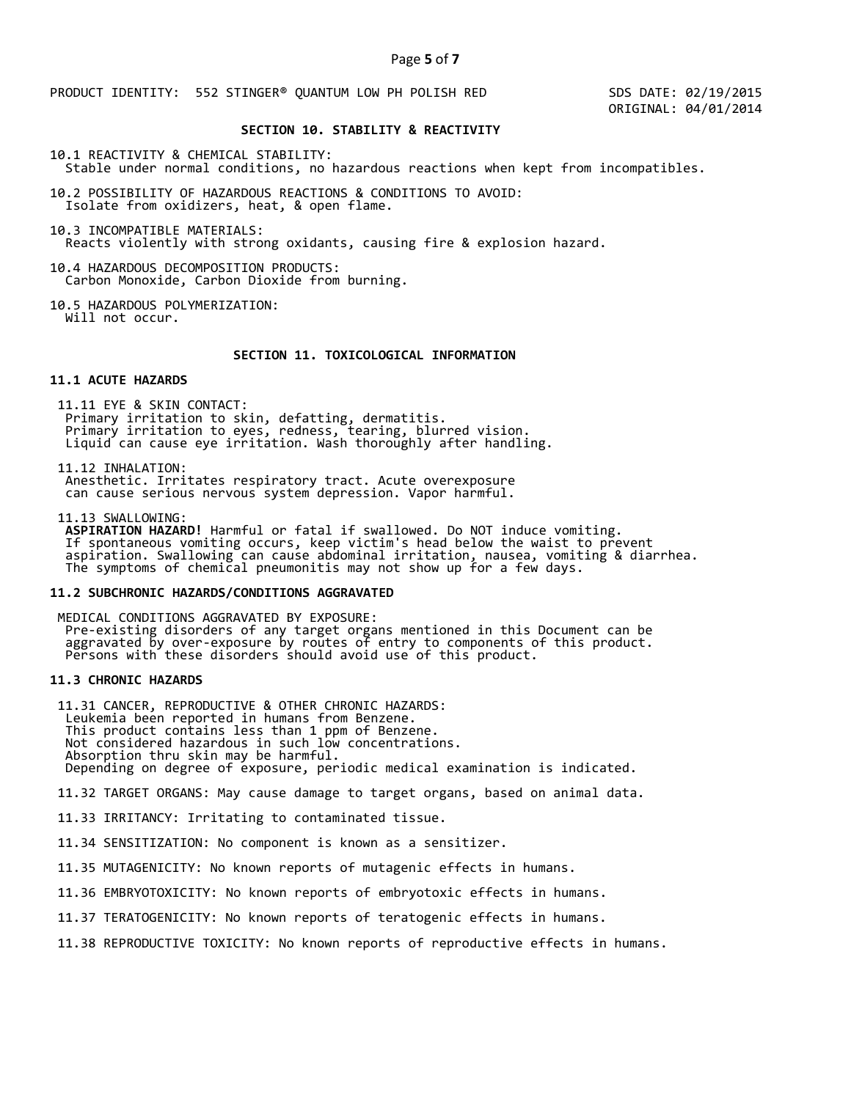PRODUCT IDENTITY: 552 STINGER® QUANTUM LOW PH POLISH RED

 SDS DATE: 02/19/2015 ORIGINAL: 04/01/2014

# **SECTION 10. STABILITY & REACTIVITY**

10.1 REACTIVITY & CHEMICAL STABILITY:

Stable under normal conditions, no hazardous reactions when kept from incompatibles.

10.2 POSSIBILITY OF HAZARDOUS REACTIONS & CONDITIONS TO AVOID: Isolate from oxidizers, heat, & open flame.

10.3 INCOMPATIBLE MATERIALS: Reacts violently with strong oxidants, causing fire & explosion hazard.

10.4 HAZARDOUS DECOMPOSITION PRODUCTS: Carbon Monoxide, Carbon Dioxide from burning.

10.5 HAZARDOUS POLYMERIZATION: Will not occur.

## **SECTION 11. TOXICOLOGICAL INFORMATION**

#### **11.1 ACUTE HAZARDS**

 11.11 EYE & SKIN CONTACT: Primary irritation to skin, defatting, dermatitis. Primary irritation to eyes, redness, tearing, blurred vision. Liquid can cause eye irritation. Wash thoroughly after handling.

11.12 INHALATION:

 Anesthetic. Irritates respiratory tract. Acute overexposure can cause serious nervous system depression. Vapor harmful.

11.13 SWALLOWING:

 **ASPIRATION HAZARD!** Harmful or fatal if swallowed. Do NOT induce vomiting. If spontaneous vomiting occurs, keep victim's head below the waist to prevent aspiration. Swallowing can cause abdominal irritation, nausea, vomiting & diarrhea. The symptoms of chemical pneumonitis may not show up for a few days.

## **11.2 SUBCHRONIC HAZARDS/CONDITIONS AGGRAVATED**

 MEDICAL CONDITIONS AGGRAVATED BY EXPOSURE: Pre-existing disorders of any target organs mentioned in this Document can be aggravated by over-exposure by routes of entry to components of this product. Persons with these disorders should avoid use of this product.

# **11.3 CHRONIC HAZARDS**

 11.31 CANCER, REPRODUCTIVE & OTHER CHRONIC HAZARDS: Leukemia been reported in humans from Benzene. This product contains less than 1 ppm of Benzene. Not considered hazardous in such low concentrations. Absorption thru skin may be harmful. Depending on degree of exposure, periodic medical examination is indicated.

11.32 TARGET ORGANS: May cause damage to target organs, based on animal data.

11.33 IRRITANCY: Irritating to contaminated tissue.

11.34 SENSITIZATION: No component is known as a sensitizer.

11.35 MUTAGENICITY: No known reports of mutagenic effects in humans.

11.36 EMBRYOTOXICITY: No known reports of embryotoxic effects in humans.

11.37 TERATOGENICITY: No known reports of teratogenic effects in humans.

11.38 REPRODUCTIVE TOXICITY: No known reports of reproductive effects in humans.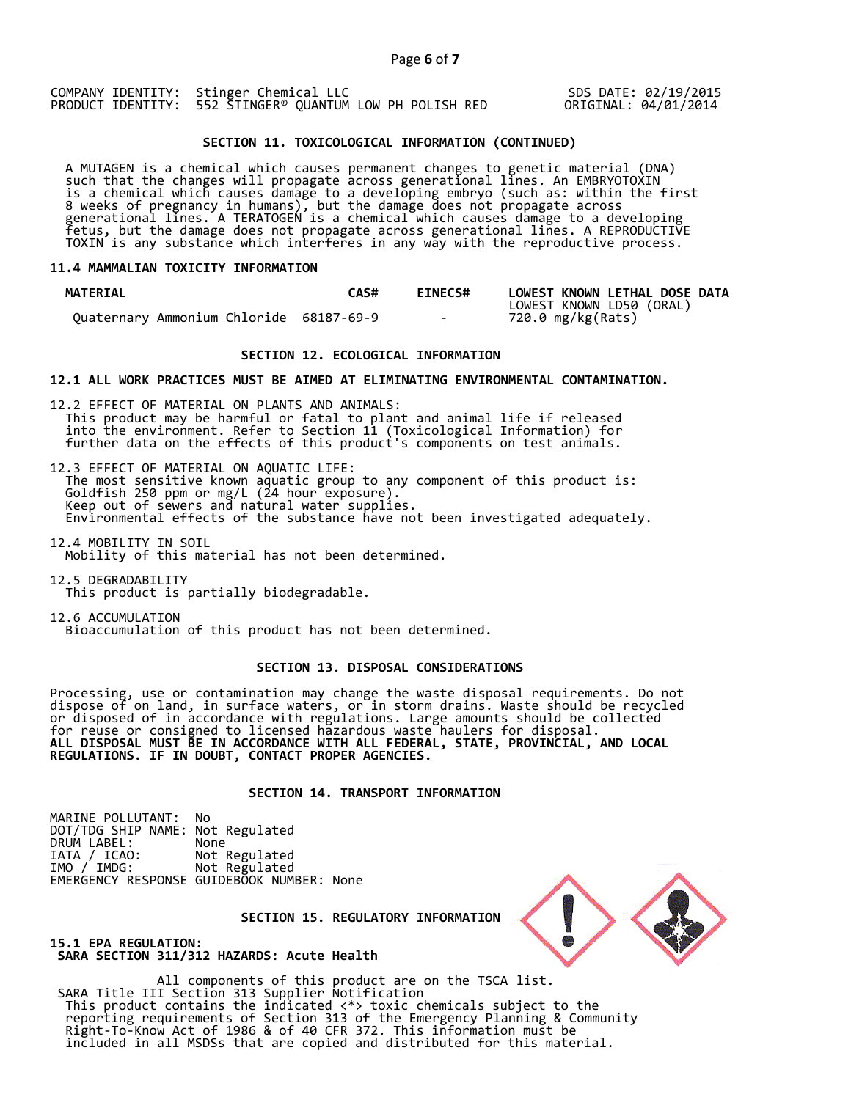## SDS DATE: 02/19/2015 ORIGINAL: 04/01/2014

## **SECTION 11. TOXICOLOGICAL INFORMATION (CONTINUED)**

 A MUTAGEN is a chemical which causes permanent changes to genetic material (DNA) such that the changes will propagate across generational lines. An EMBRYOTOXIN is a chemical which causes damage to a developing embryo (such as: within the first 8 weeks of pregnancy in humans), but the damage does not propagate across generational lines. A TERATOGEN is a chemical which causes damage to a developing fetus, but the damage does not propagate across generational lines. A REPRODUCTIVE TOXIN is any substance which interferes in any way with the reproductive process.

### **11.4 MAMMALIAN TOXICITY INFORMATION**

| <b>MATERIAL</b>                         | CAS# | <b>EINECS#</b> | LOWEST KNOWN LETHAL DOSE DATA |
|-----------------------------------------|------|----------------|-------------------------------|
|                                         |      |                | LOWEST KNOWN LD50 (ORAL)      |
| Ouaternary Ammonium Chloride 68187-69-9 |      | $\sim$ $\sim$  | 720.0 mg/kg(Rats)             |

## **SECTION 12. ECOLOGICAL INFORMATION**

### **12.1 ALL WORK PRACTICES MUST BE AIMED AT ELIMINATING ENVIRONMENTAL CONTAMINATION.**

12.2 EFFECT OF MATERIAL ON PLANTS AND ANIMALS: This product may be harmful or fatal to plant and animal life if released into the environment. Refer to Section 11 (Toxicological Information) for further data on the effects of this product's components on test animals.

12.3 EFFECT OF MATERIAL ON AQUATIC LIFE: The most sensitive known aquatic group to any component of this product is: Goldfish 250 ppm or mg/L (24 hour exposure). Keep out of sewers and natural water supplies. Environmental effects of the substance have not been investigated adequately.

12.4 MOBILITY IN SOIL Mobility of this material has not been determined.

12.5 DEGRADABILITY This product is partially biodegradable.

12.6 ACCUMULATION Bioaccumulation of this product has not been determined.

### **SECTION 13. DISPOSAL CONSIDERATIONS**

Processing, use or contamination may change the waste disposal requirements. Do not dispose of on land, in surface waters, or in storm drains. Waste should be recycled or disposed of in accordance with regulations. Large amounts should be collected for reuse or consigned to licensed hazardous waste haulers for disposal. **ALL DISPOSAL MUST BE IN ACCORDANCE WITH ALL FEDERAL, STATE, PROVINCIAL, AND LOCAL REGULATIONS. IF IN DOUBT, CONTACT PROPER AGENCIES.** 

## **SECTION 14. TRANSPORT INFORMATION**

MARINE POLLUTANT: No DOT/TDG SHIP NAME: Not Regulated DRUM LABEL:<br>IATA / ICAO: IATA / ICAO: Not Regulated<br>IMO / IMDG: Not Regulated Not Regulated EMERGENCY RESPONSE GUIDEBOOK NUMBER: None

 **SECTION 15. REGULATORY INFORMATION** 



**15.1 EPA REGULATION: SARA SECTION 311/312 HAZARDS: Acute Health** 

All components of this product are on the TSCA list. SARA Title III Section 313 Supplier Notification This product contains the indicated <\*> toxic chemicals subject to the reporting requirements of Section 313 of the Emergency Planning & Community Right-To-Know Act of 1986 & of 40 CFR 372. This information must be included in all MSDSs that are copied and distributed for this material.